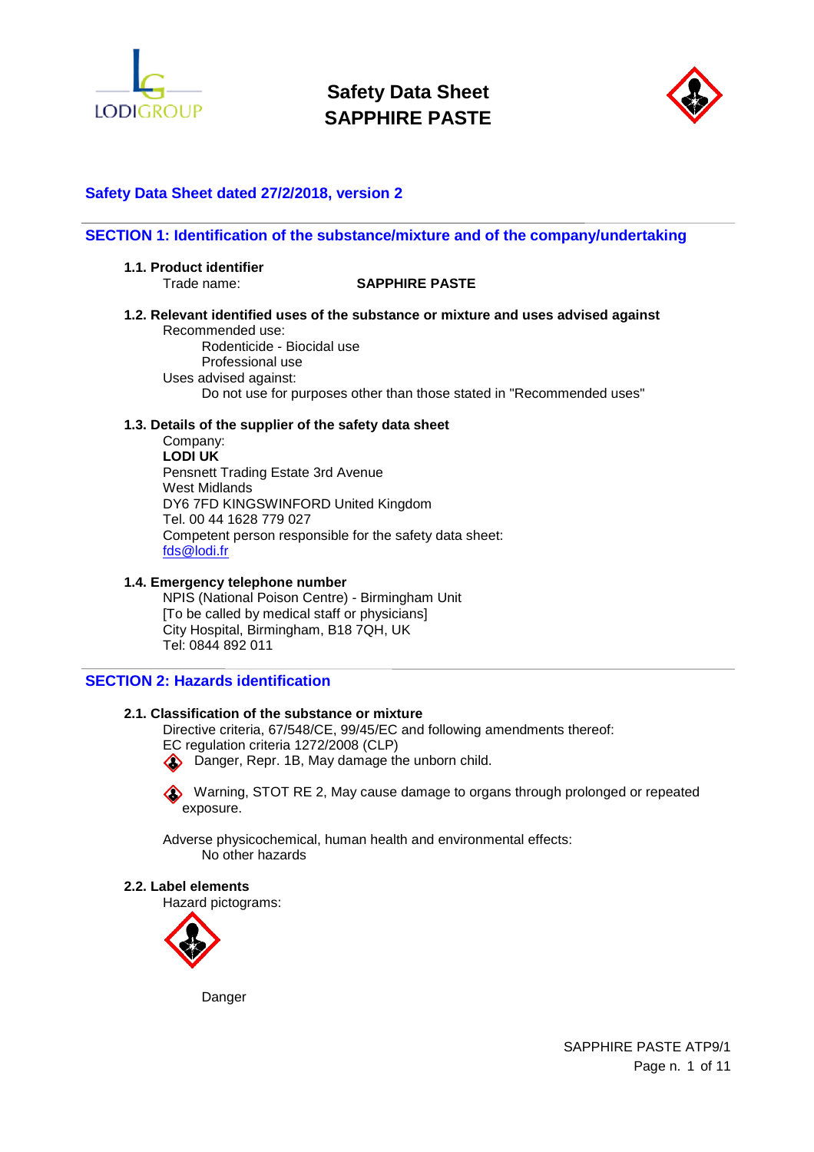



# **Safety Data Sheet dated 27/2/2018, version 2**

### **SECTION 1: Identification of the substance/mixture and of the company/undertaking**

**1.1. Product identifier** 

## Trade name: **SAPPHIRE PASTE**

**1.2. Relevant identified uses of the substance or mixture and uses advised against**  Recommended use:

Rodenticide - Biocidal use Professional use Uses advised against: Do not use for purposes other than those stated in "Recommended uses"

### **1.3. Details of the supplier of the safety data sheet**

Company: **LODI UK**  Pensnett Trading Estate 3rd Avenue West Midlands DY6 7FD KINGSWINFORD United Kingdom Tel. 00 44 1628 779 027 Competent person responsible for the safety data sheet: fds@lodi.fr

#### **1.4. Emergency telephone number**

NPIS (National Poison Centre) - Birmingham Unit [To be called by medical staff or physicians] City Hospital, Birmingham, B18 7QH, UK Tel: 0844 892 011

## **SECTION 2: Hazards identification**

### **2.1. Classification of the substance or mixture**

Directive criteria, 67/548/CE, 99/45/EC and following amendments thereof:

EC regulation criteria 1272/2008 (CLP)

**Comparent**, Repr. 1B, May damage the unborn child.

Warning, STOT RE 2, May cause damage to organs through prolonged or repeated exposure.

Adverse physicochemical, human health and environmental effects: No other hazards

#### **2.2. Label elements**

Hazard pictograms:



**Danger** 

SAPPHIRE PASTE ATP9/1 Page n. 1 of 11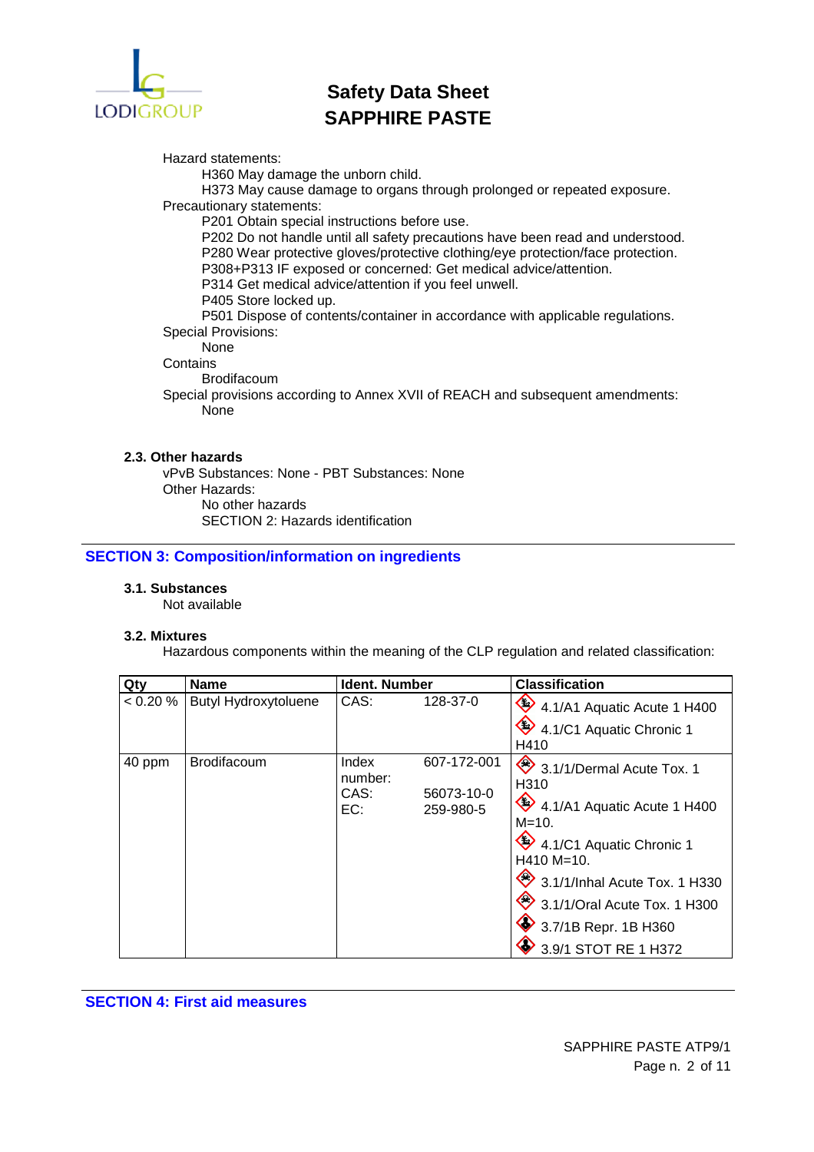

Hazard statements:

H360 May damage the unborn child.

H373 May cause damage to organs through prolonged or repeated exposure. Precautionary statements:

P201 Obtain special instructions before use.

P202 Do not handle until all safety precautions have been read and understood. P280 Wear protective gloves/protective clothing/eye protection/face protection.

P308+P313 IF exposed or concerned: Get medical advice/attention.

P314 Get medical advice/attention if you feel unwell.

P405 Store locked up.

P501 Dispose of contents/container in accordance with applicable regulations. Special Provisions:

None

**Contains** 

Brodifacoum

Special provisions according to Annex XVII of REACH and subsequent amendments: None

## **2.3. Other hazards**

vPvB Substances: None - PBT Substances: None Other Hazards: No other hazards SECTION 2: Hazards identification

## **SECTION 3: Composition/information on ingredients**

## **3.1. Substances**

Not available

### **3.2. Mixtures**

Hazardous components within the meaning of the CLP regulation and related classification:

| Qty      | <b>Name</b>          | <b>Ident. Number</b>            |                                        | <b>Classification</b>                                                                                                                                                                                                                                      |
|----------|----------------------|---------------------------------|----------------------------------------|------------------------------------------------------------------------------------------------------------------------------------------------------------------------------------------------------------------------------------------------------------|
| < 0.20 % | Butyl Hydroxytoluene | CAS:                            | 128-37-0                               | 4.1/A1 Aquatic Acute 1 H400<br>4.1/C1 Aquatic Chronic 1<br>H410                                                                                                                                                                                            |
| 40 ppm   | <b>Brodifacoum</b>   | Index<br>number:<br>CAS:<br>EC: | 607-172-001<br>56073-10-0<br>259-980-5 | 3.1/1/Dermal Acute Tox. 1<br>H310<br>$\bullet$ 4.1/A1 Aquatic Acute 1 H400<br>M=10.<br>4.1/C1 Aquatic Chronic 1<br>$H410 M=10.$<br>3.1/1/Inhal Acute Tox. 1 H330<br>3.1/1/Oral Acute Tox. 1 H300<br>$\bullet$ 3.7/1B Repr. 1B H360<br>3.9/1 STOT RE 1 H372 |

**SECTION 4: First aid measures**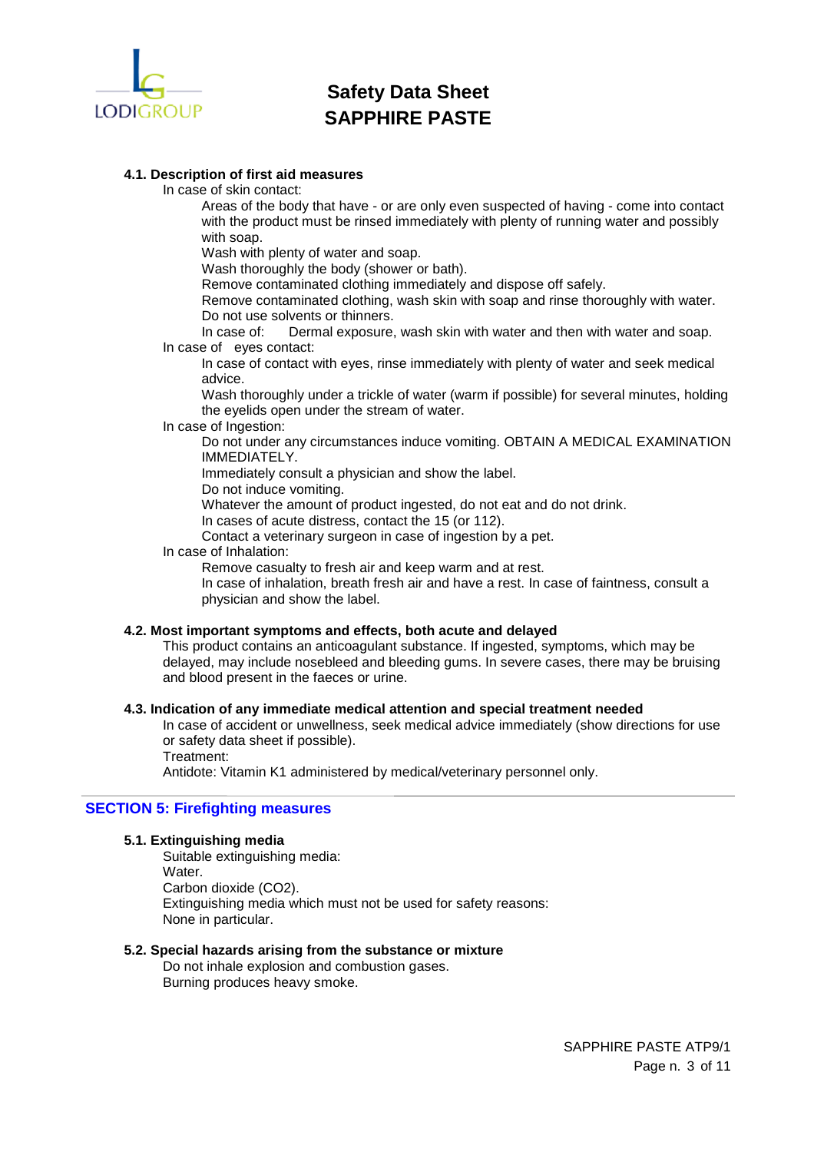

# **4.1. Description of first aid measures**

In case of skin contact:

Areas of the body that have - or are only even suspected of having - come into contact with the product must be rinsed immediately with plenty of running water and possibly with soap.

Wash with plenty of water and soap.

Wash thoroughly the body (shower or bath).

Remove contaminated clothing immediately and dispose off safely.

Remove contaminated clothing, wash skin with soap and rinse thoroughly with water. Do not use solvents or thinners.

In case of: Dermal exposure, wash skin with water and then with water and soap. In case of eyes contact:

In case of contact with eyes, rinse immediately with plenty of water and seek medical advice.

Wash thoroughly under a trickle of water (warm if possible) for several minutes, holding the eyelids open under the stream of water.

#### In case of Ingestion:

Do not under any circumstances induce vomiting. OBTAIN A MEDICAL EXAMINATION IMMEDIATELY.

Immediately consult a physician and show the label.

Do not induce vomiting.

Whatever the amount of product ingested, do not eat and do not drink.

In cases of acute distress, contact the 15 (or 112).

Contact a veterinary surgeon in case of ingestion by a pet.

## In case of Inhalation:

Remove casualty to fresh air and keep warm and at rest.

In case of inhalation, breath fresh air and have a rest. In case of faintness, consult a physician and show the label.

### **4.2. Most important symptoms and effects, both acute and delayed**

This product contains an anticoagulant substance. If ingested, symptoms, which may be delayed, may include nosebleed and bleeding gums. In severe cases, there may be bruising and blood present in the faeces or urine.

### **4.3. Indication of any immediate medical attention and special treatment needed**

In case of accident or unwellness, seek medical advice immediately (show directions for use or safety data sheet if possible).

Treatment:

Antidote: Vitamin K1 administered by medical/veterinary personnel only.

## **SECTION 5: Firefighting measures**

### **5.1. Extinguishing media**

Suitable extinguishing media: Water. Carbon dioxide (CO2). Extinguishing media which must not be used for safety reasons: None in particular.

## **5.2. Special hazards arising from the substance or mixture**

Do not inhale explosion and combustion gases. Burning produces heavy smoke.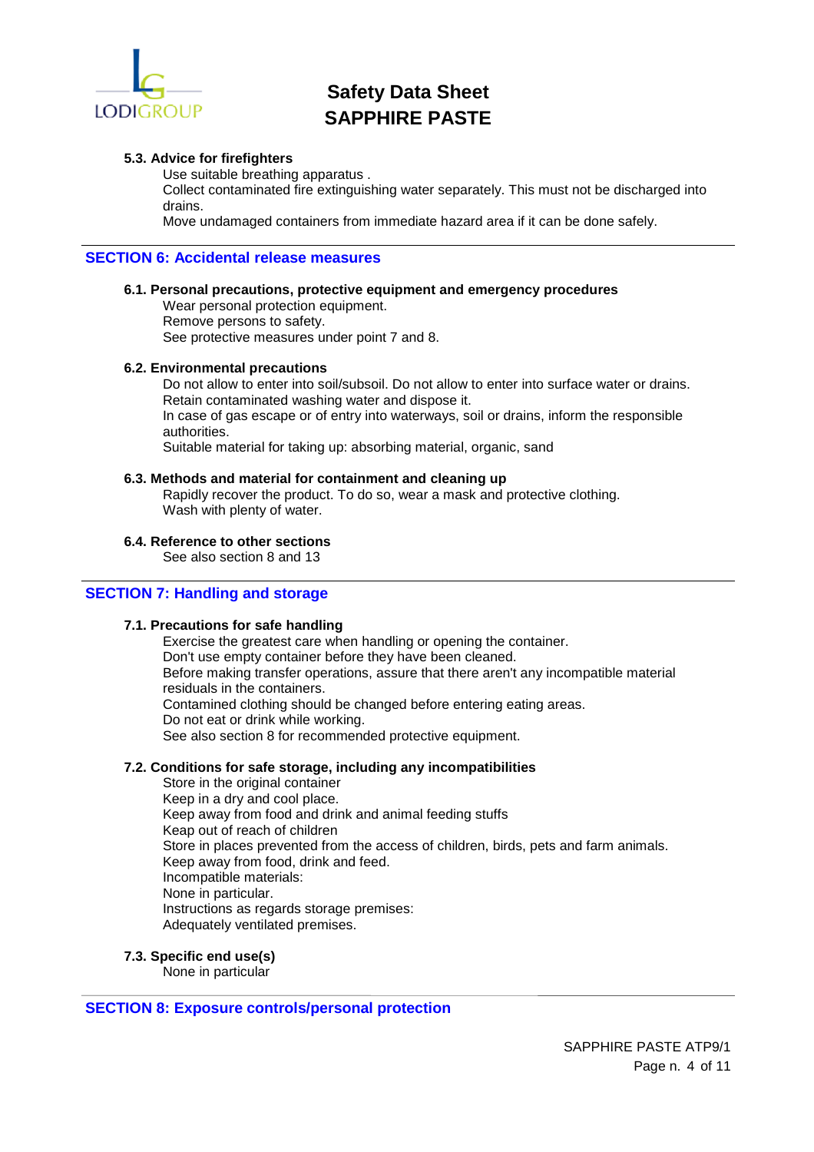

### **5.3. Advice for firefighters**

Use suitable breathing apparatus .

Collect contaminated fire extinguishing water separately. This must not be discharged into drains.

Move undamaged containers from immediate hazard area if it can be done safely.

## **SECTION 6: Accidental release measures**

### **6.1. Personal precautions, protective equipment and emergency procedures**

Wear personal protection equipment. Remove persons to safety. See protective measures under point 7 and 8.

### **6.2. Environmental precautions**

Do not allow to enter into soil/subsoil. Do not allow to enter into surface water or drains. Retain contaminated washing water and dispose it. In case of gas escape or of entry into waterways, soil or drains, inform the responsible authorities. Suitable material for taking up: absorbing material, organic, sand

### **6.3. Methods and material for containment and cleaning up**

Rapidly recover the product. To do so, wear a mask and protective clothing. Wash with plenty of water.

### **6.4. Reference to other sections**

See also section 8 and 13

### **SECTION 7: Handling and storage**

## **7.1. Precautions for safe handling**

Exercise the greatest care when handling or opening the container. Don't use empty container before they have been cleaned. Before making transfer operations, assure that there aren't any incompatible material residuals in the containers. Contamined clothing should be changed before entering eating areas. Do not eat or drink while working. See also section 8 for recommended protective equipment.

### **7.2. Conditions for safe storage, including any incompatibilities**

Store in the original container Keep in a dry and cool place. Keep away from food and drink and animal feeding stuffs Keap out of reach of children Store in places prevented from the access of children, birds, pets and farm animals. Keep away from food, drink and feed. Incompatible materials: None in particular. Instructions as regards storage premises: Adequately ventilated premises.

## **7.3. Specific end use(s)**

None in particular

### **SECTION 8: Exposure controls/personal protection**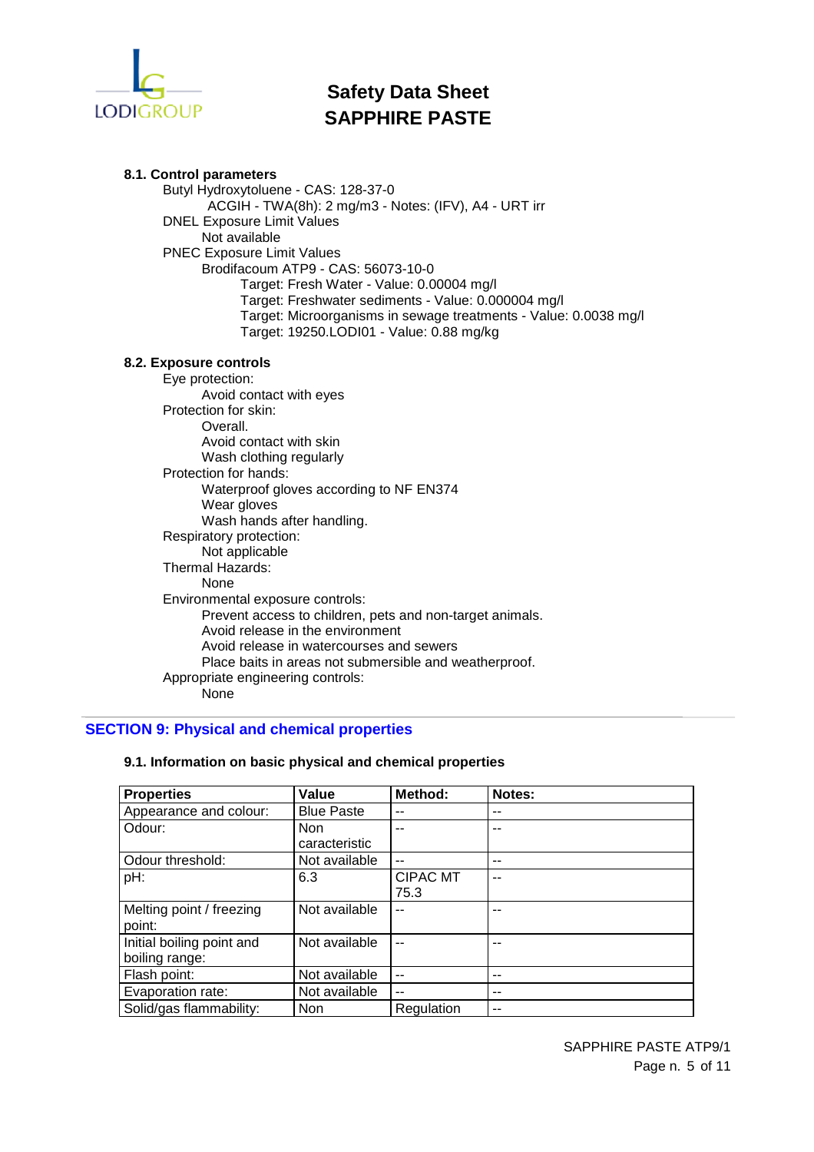

**8.1. Control parameters**  Butyl Hydroxytoluene - CAS: 128-37-0 ACGIH - TWA(8h): 2 mg/m3 - Notes: (IFV), A4 - URT irr DNEL Exposure Limit Values Not available PNEC Exposure Limit Values Brodifacoum ATP9 - CAS: 56073-10-0 Target: Fresh Water - Value: 0.00004 mg/l Target: Freshwater sediments - Value: 0.000004 mg/l Target: Microorganisms in sewage treatments - Value: 0.0038 mg/l Target: 19250.LODI01 - Value: 0.88 mg/kg **8.2. Exposure controls**  Eye protection: Avoid contact with eyes Protection for skin: Overall. Avoid contact with skin Wash clothing regularly Protection for hands: Waterproof gloves according to NF EN374 Wear gloves Wash hands after handling. Respiratory protection: Not applicable Thermal Hazards: None Environmental exposure controls: Prevent access to children, pets and non-target animals. Avoid release in the environment Avoid release in watercourses and sewers Place baits in areas not submersible and weatherproof. Appropriate engineering controls: None

# **SECTION 9: Physical and chemical properties**

| <b>Properties</b>                           | Value                       | Method:                 | Notes: |
|---------------------------------------------|-----------------------------|-------------------------|--------|
| Appearance and colour:                      | <b>Blue Paste</b>           |                         |        |
| Odour:                                      | <b>Non</b><br>caracteristic | --                      |        |
| Odour threshold:                            | Not available               | $\overline{a}$          | --     |
| pH:                                         | 6.3                         | <b>CIPAC MT</b><br>75.3 |        |
| Melting point / freezing<br>point:          | Not available               | --                      |        |
| Initial boiling point and<br>boiling range: | Not available               |                         |        |
| Flash point:                                | Not available               | $\overline{a}$          | --     |
| Evaporation rate:                           | Not available               | --                      | --     |
| Solid/gas flammability:                     | <b>Non</b>                  | Regulation              |        |

## **9.1. Information on basic physical and chemical properties**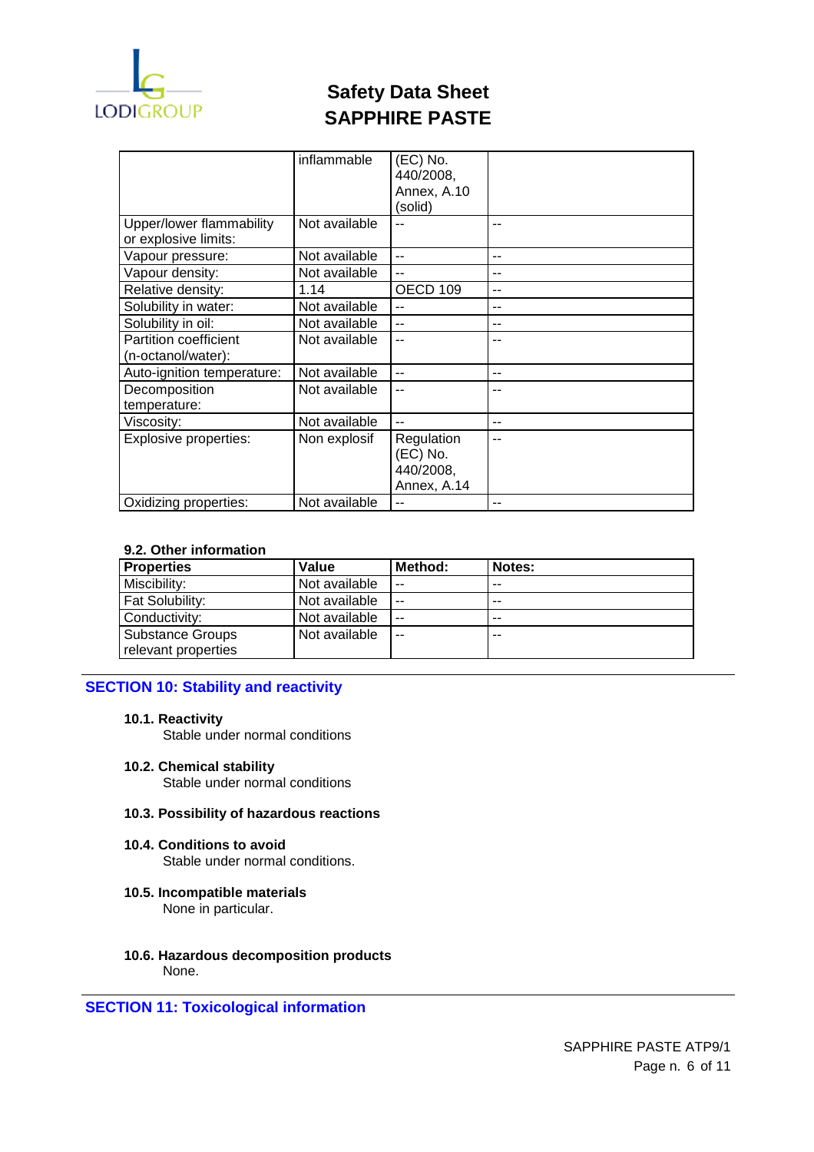

|                                                  | inflammable   | (EC) No.<br>440/2008, |                |
|--------------------------------------------------|---------------|-----------------------|----------------|
|                                                  |               | Annex, A.10           |                |
|                                                  |               | (solid)               |                |
|                                                  |               |                       |                |
| Upper/lower flammability<br>or explosive limits: | Not available |                       | --             |
| Vapour pressure:                                 | Not available | $-$                   | --             |
| Vapour density:                                  | Not available |                       |                |
| Relative density:                                | 1.14          | OECD 109              | --             |
| Solubility in water:                             | Not available | $-$                   | --             |
| Solubility in oil:                               | Not available | $-$                   | --             |
| Partition coefficient                            | Not available | $\overline{a}$        | --             |
| (n-octanol/water):                               |               |                       |                |
| Auto-ignition temperature:                       | Not available | $-$                   | --             |
| Decomposition                                    | Not available | $-$                   | --             |
| temperature:                                     |               |                       |                |
| Viscosity:                                       | Not available | $-$                   | $-$            |
| <b>Explosive properties:</b>                     | Non explosif  | Regulation            | $\overline{a}$ |
|                                                  |               | (EC) No.              |                |
|                                                  |               | 440/2008,             |                |
|                                                  |               | Annex, A.14           |                |
| Oxidizing properties:                            | Not available | $-$                   | --             |

## **9.2. Other information**

| <b>Properties</b>      | Value         | Method: | Notes: |
|------------------------|---------------|---------|--------|
| Miscibility:           | Not available | $-$     | $-$    |
| <b>Fat Solubility:</b> | Not available | $-$     | $- -$  |
| Conductivity:          | Not available | $ -$    | $- -$  |
| Substance Groups       | Not available | $ -$    | $- -$  |
| relevant properties    |               |         |        |

# **SECTION 10: Stability and reactivity**

# **10.1. Reactivity**

Stable under normal conditions

**10.2. Chemical stability** 

Stable under normal conditions

#### **10.3. Possibility of hazardous reactions**

#### **10.4. Conditions to avoid**  Stable under normal conditions.

**10.5. Incompatible materials** 

None in particular.

**10.6. Hazardous decomposition products**  None.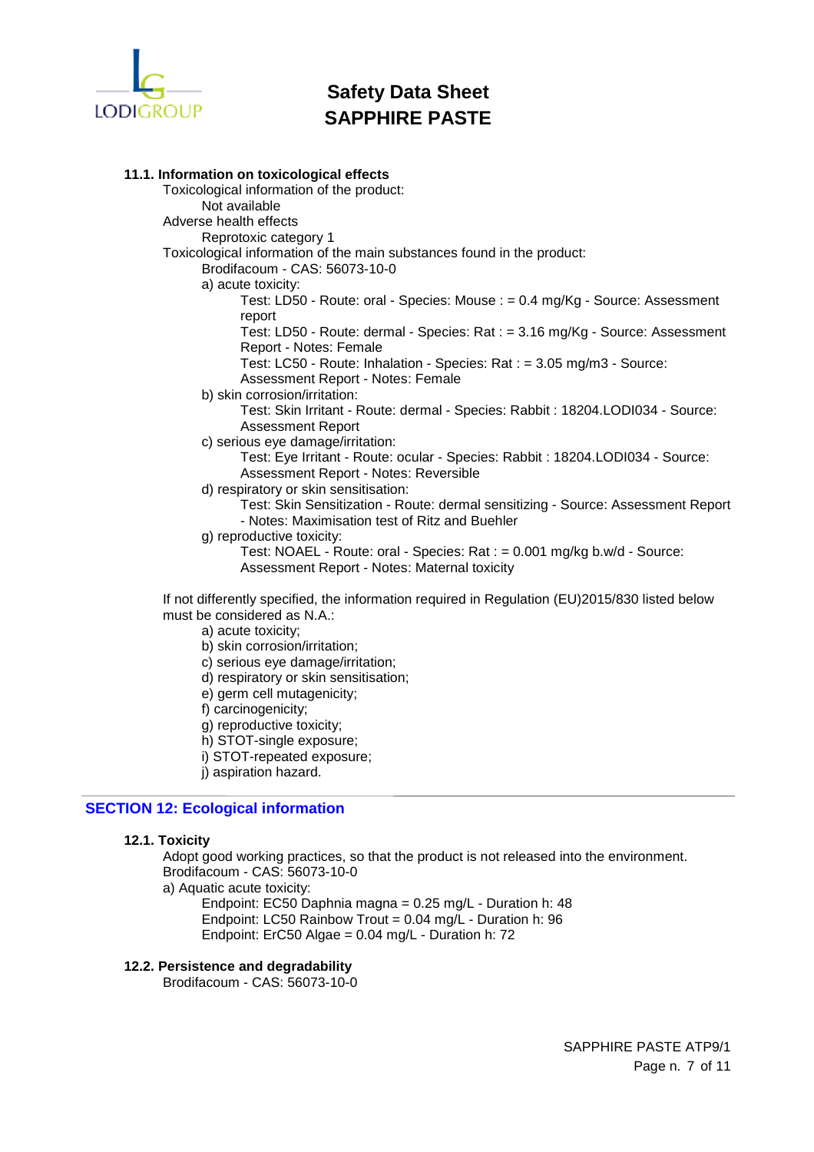

# **11.1. Information on toxicological effects**

Toxicological information of the product: Not available Adverse health effects Reprotoxic category 1 Toxicological information of the main substances found in the product: Brodifacoum - CAS: 56073-10-0 a) acute toxicity: Test: LD50 - Route: oral - Species: Mouse : = 0.4 mg/Kg - Source: Assessment report Test: LD50 - Route: dermal - Species: Rat : = 3.16 mg/Kg - Source: Assessment Report - Notes: Female Test: LC50 - Route: Inhalation - Species: Rat : = 3.05 mg/m3 - Source: Assessment Report - Notes: Female b) skin corrosion/irritation: Test: Skin Irritant - Route: dermal - Species: Rabbit : 18204.LODI034 - Source: Assessment Report c) serious eye damage/irritation: Test: Eye Irritant - Route: ocular - Species: Rabbit : 18204.LODI034 - Source: Assessment Report - Notes: Reversible d) respiratory or skin sensitisation: Test: Skin Sensitization - Route: dermal sensitizing - Source: Assessment Report - Notes: Maximisation test of Ritz and Buehler g) reproductive toxicity: Test: NOAEL - Route: oral - Species: Rat : = 0.001 mg/kg b.w/d - Source: Assessment Report - Notes: Maternal toxicity If not differently specified, the information required in Regulation (EU)2015/830 listed below must be considered as N.A.:

- a) acute toxicity;
- b) skin corrosion/irritation;
- c) serious eye damage/irritation;
- d) respiratory or skin sensitisation;
- e) germ cell mutagenicity;
- f) carcinogenicity;
- g) reproductive toxicity;
- h) STOT-single exposure;
- i) STOT-repeated exposure;
- i) aspiration hazard.

## **SECTION 12: Ecological information**

### **12.1. Toxicity**

Adopt good working practices, so that the product is not released into the environment. Brodifacoum - CAS: 56073-10-0

a) Aquatic acute toxicity:

Endpoint: EC50 Daphnia magna = 0.25 mg/L - Duration h: 48 Endpoint: LC50 Rainbow Trout = 0.04 mg/L - Duration h: 96 Endpoint: ErC50 Algae = 0.04 mg/L - Duration h: 72

### **12.2. Persistence and degradability**

Brodifacoum - CAS: 56073-10-0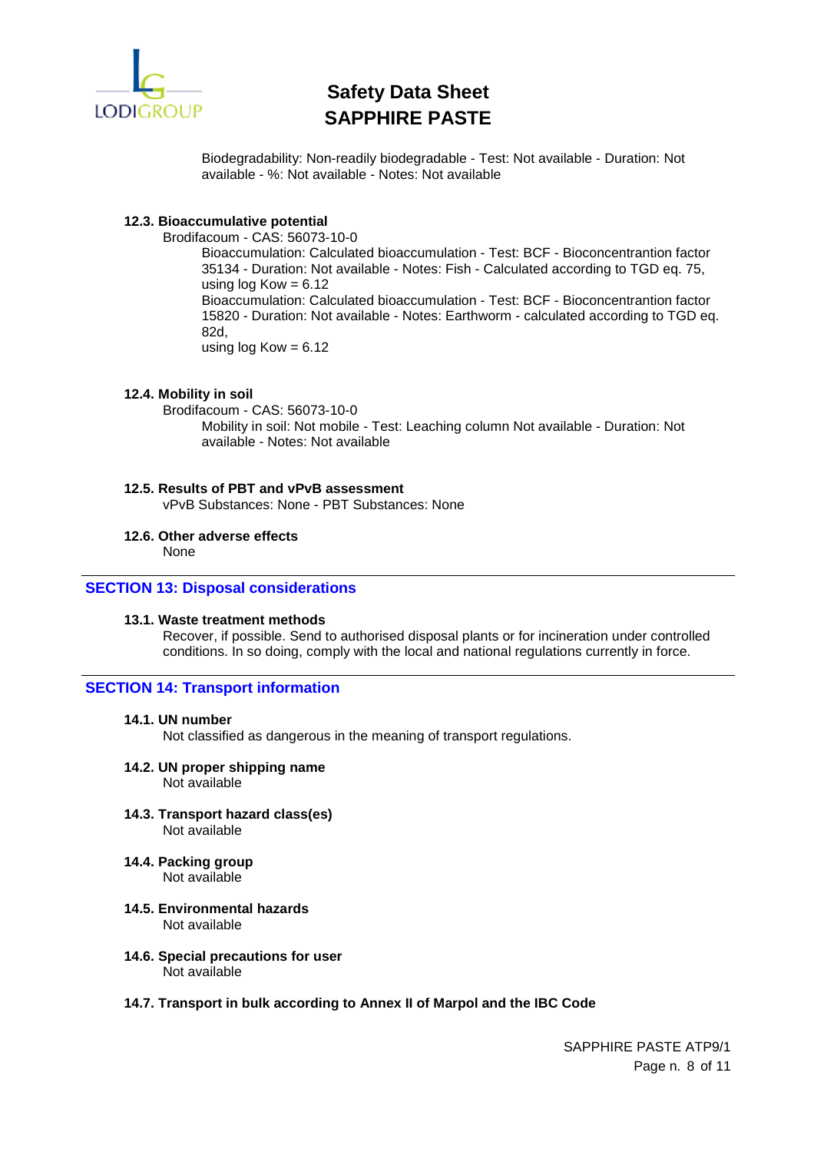

Biodegradability: Non-readily biodegradable - Test: Not available - Duration: Not available - %: Not available - Notes: Not available

## **12.3. Bioaccumulative potential**

Brodifacoum - CAS: 56073-10-0

Bioaccumulation: Calculated bioaccumulation - Test: BCF - Bioconcentrantion factor 35134 - Duration: Not available - Notes: Fish - Calculated according to TGD eq. 75, using  $log Kow = 6.12$ Bioaccumulation: Calculated bioaccumulation - Test: BCF - Bioconcentrantion factor 15820 - Duration: Not available - Notes: Earthworm - calculated according to TGD eq. 82d, using  $log Kow = 6.12$ 

### **12.4. Mobility in soil**

Brodifacoum - CAS: 56073-10-0 Mobility in soil: Not mobile - Test: Leaching column Not available - Duration: Not available - Notes: Not available

# **12.5. Results of PBT and vPvB assessment**

vPvB Substances: None - PBT Substances: None

## **12.6. Other adverse effects**

None

### **SECTION 13: Disposal considerations**

## **13.1. Waste treatment methods**

Recover, if possible. Send to authorised disposal plants or for incineration under controlled conditions. In so doing, comply with the local and national regulations currently in force.

### **SECTION 14: Transport information**

### **14.1. UN number**

Not classified as dangerous in the meaning of transport regulations.

# **14.2. UN proper shipping name**

Not available

- **14.3. Transport hazard class(es)**  Not available
- **14.4. Packing group**  Not available
	-
- **14.5. Environmental hazards**  Not available
- **14.6. Special precautions for user**  Not available

### **14.7. Transport in bulk according to Annex II of Marpol and the IBC Code**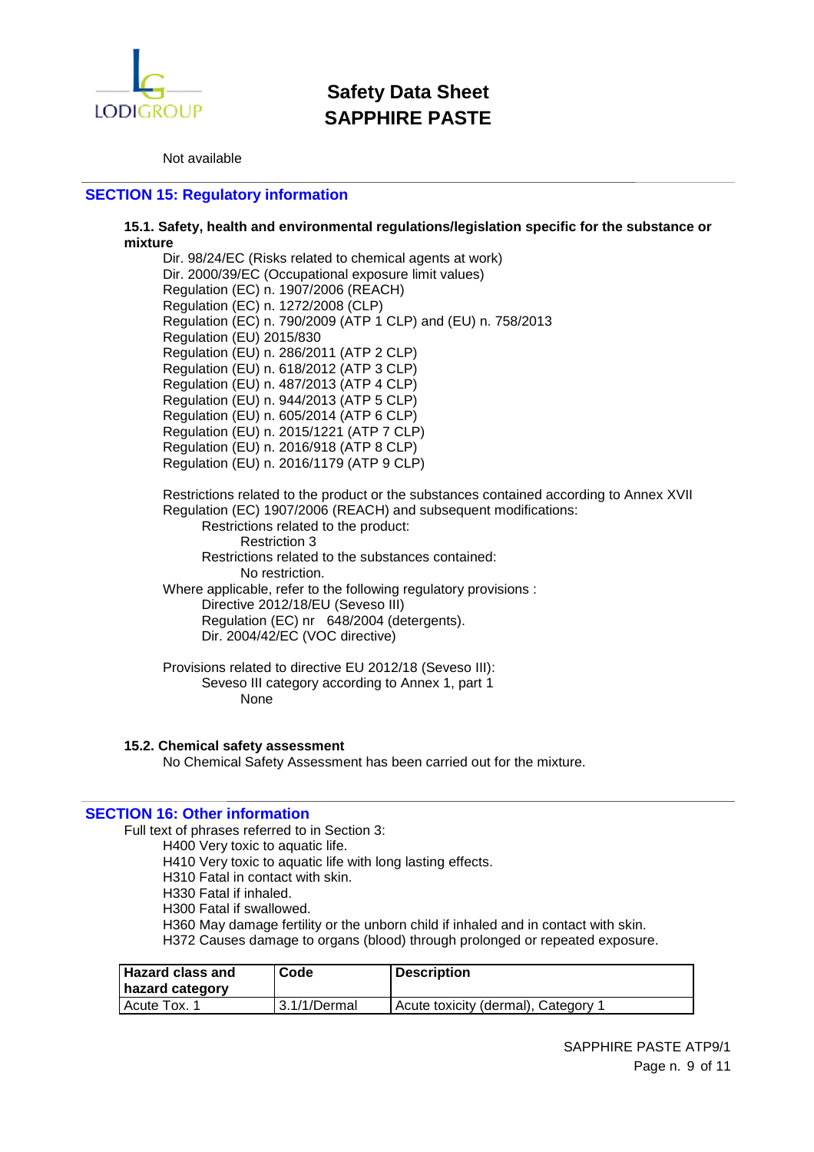

Not available

# **SECTION 15: Regulatory information**

### **15.1. Safety, health and environmental regulations/legislation specific for the substance or mixture**

Dir. 98/24/EC (Risks related to chemical agents at work) Dir. 2000/39/EC (Occupational exposure limit values) Regulation (EC) n. 1907/2006 (REACH) Regulation (EC) n. 1272/2008 (CLP) Regulation (EC) n. 790/2009 (ATP 1 CLP) and (EU) n. 758/2013 Regulation (EU) 2015/830 Regulation (EU) n. 286/2011 (ATP 2 CLP) Regulation (EU) n. 618/2012 (ATP 3 CLP) Regulation (EU) n. 487/2013 (ATP 4 CLP) Regulation (EU) n. 944/2013 (ATP 5 CLP) Regulation (EU) n. 605/2014 (ATP 6 CLP) Regulation (EU) n. 2015/1221 (ATP 7 CLP) Regulation (EU) n. 2016/918 (ATP 8 CLP) Regulation (EU) n. 2016/1179 (ATP 9 CLP)

Restrictions related to the product or the substances contained according to Annex XVII Regulation (EC) 1907/2006 (REACH) and subsequent modifications:

Restrictions related to the product: Restriction 3 Restrictions related to the substances contained: No restriction. Where applicable, refer to the following regulatory provisions : Directive 2012/18/EU (Seveso III) Regulation (EC) nr 648/2004 (detergents). Dir. 2004/42/EC (VOC directive)

Provisions related to directive EU 2012/18 (Seveso III): Seveso III category according to Annex 1, part 1 None

### **15.2. Chemical safety assessment**

No Chemical Safety Assessment has been carried out for the mixture.

### **SECTION 16: Other information**

Full text of phrases referred to in Section 3:

H400 Very toxic to aquatic life.

H410 Very toxic to aquatic life with long lasting effects.

H310 Fatal in contact with skin.

H330 Fatal if inhaled.

H300 Fatal if swallowed.

H360 May damage fertility or the unborn child if inhaled and in contact with skin.

H372 Causes damage to organs (blood) through prolonged or repeated exposure.

| <b>Hazard class and</b> | Code         | <b>Description</b>                  |
|-------------------------|--------------|-------------------------------------|
| hazard category         |              |                                     |
| <b>I Acute Tox.</b>     | 3.1/1/Dermal | Acute toxicity (dermal), Category 1 |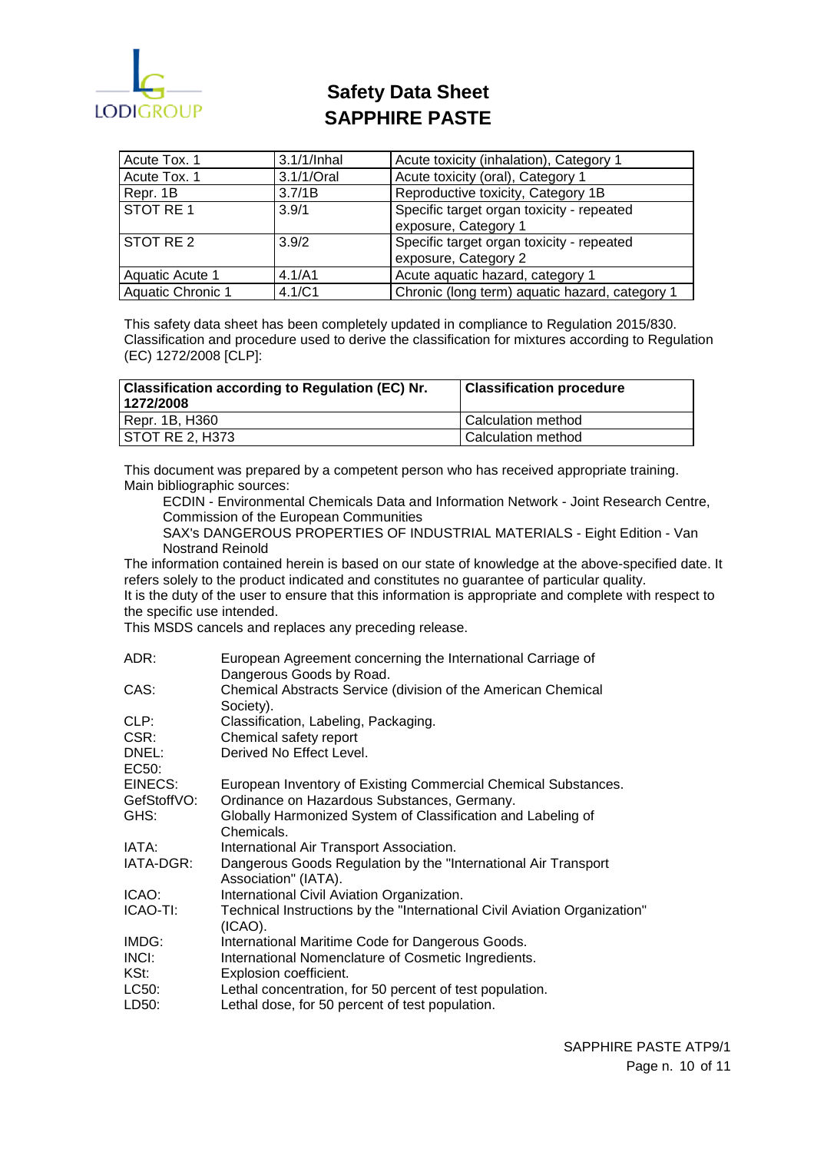

| Acute Tox. 1      | 3.1/1/Inhal | Acute toxicity (inhalation), Category 1                           |
|-------------------|-------------|-------------------------------------------------------------------|
| Acute Tox. 1      | 3.1/1/Oral  | Acute toxicity (oral), Category 1                                 |
| Repr. 1B          | 3.7/1B      | Reproductive toxicity, Category 1B                                |
| STOT RE1          | 3.9/1       | Specific target organ toxicity - repeated<br>exposure, Category 1 |
| STOT RE 2         | 3.9/2       | Specific target organ toxicity - repeated<br>exposure, Category 2 |
| Aquatic Acute 1   | 4.1/A1      | Acute aquatic hazard, category 1                                  |
| Aquatic Chronic 1 | 4.1/C1      | Chronic (long term) aquatic hazard, category 1                    |

This safety data sheet has been completely updated in compliance to Regulation 2015/830. Classification and procedure used to derive the classification for mixtures according to Regulation (EC) 1272/2008 [CLP]:

| <b>Classification according to Regulation (EC) Nr.</b><br>1272/2008 | <b>Classification procedure</b> |
|---------------------------------------------------------------------|---------------------------------|
| Repr. 1B, H360                                                      | l Calculation method            |
| STOT RE 2, H373                                                     | l Calculation method            |

This document was prepared by a competent person who has received appropriate training. Main bibliographic sources:

ECDIN - Environmental Chemicals Data and Information Network - Joint Research Centre, Commission of the European Communities

SAX's DANGEROUS PROPERTIES OF INDUSTRIAL MATERIALS - Eight Edition - Van Nostrand Reinold

The information contained herein is based on our state of knowledge at the above-specified date. It refers solely to the product indicated and constitutes no guarantee of particular quality.

It is the duty of the user to ensure that this information is appropriate and complete with respect to the specific use intended.

This MSDS cancels and replaces any preceding release.

| ADR:           | European Agreement concerning the International Carriage of<br>Dangerous Goods by Road. |
|----------------|-----------------------------------------------------------------------------------------|
| CAS:           | Chemical Abstracts Service (division of the American Chemical                           |
|                | Society).                                                                               |
| CLP:           | Classification, Labeling, Packaging.                                                    |
| CSR:           | Chemical safety report                                                                  |
| DNEL:<br>EC50: | Derived No Effect Level.                                                                |
| EINECS:        | European Inventory of Existing Commercial Chemical Substances.                          |
| GefStoffVO:    | Ordinance on Hazardous Substances, Germany.                                             |
| GHS:           | Globally Harmonized System of Classification and Labeling of<br>Chemicals.              |
| IATA:          | International Air Transport Association.                                                |
| IATA-DGR:      | Dangerous Goods Regulation by the "International Air Transport"<br>Association" (IATA). |
| ICAO:          | International Civil Aviation Organization.                                              |
| ICAO-TI:       | Technical Instructions by the "International Civil Aviation Organization"<br>$(ICAO)$ . |
| IMDG:          | International Maritime Code for Dangerous Goods.                                        |
| INCI:          | International Nomenclature of Cosmetic Ingredients.                                     |
| KSt:           | Explosion coefficient.                                                                  |
| LC50:          | Lethal concentration, for 50 percent of test population.                                |
| LD50:          | Lethal dose, for 50 percent of test population.                                         |